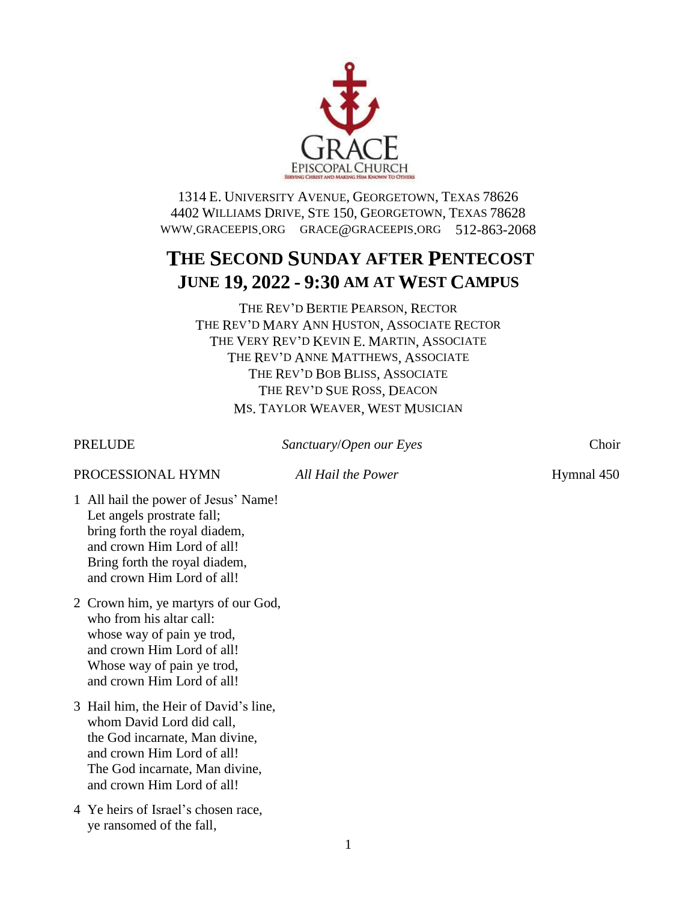

1314 E. UNIVERSITY AVENUE, GEORGETOWN, TEXAS 78626 4402 WILLIAMS DRIVE, STE 150, GEORGETOWN, TEXAS 78628 WWW.GRACEEPIS.ORG GRACE@GRACEEPIS.ORG 512-863-2068

# **THE SECOND SUNDAY AFTER PENTECOST JUNE 19, 2022 - 9:30 AM AT WEST CAMPUS**

THE REV'D BERTIE PEARSON, RECTOR THE REV'D MARY ANN HUSTON, ASSOCIATE RECTOR THE VERY REV'D KEVIN E. MARTIN, ASSOCIATE THE REV'D ANNE MATTHEWS, ASSOCIATE THE REV'D BOB BLISS, ASSOCIATE THE REV'D SUE ROSS, DEACON MS. TAYLOR WEAVER, WEST MUSICIAN

PRELUDE *Sanctuary*/*Open our Eyes* Choir

#### PROCESSIONAL HYMN *All Hail the Power* Hymnal 450

- 1 All hail the power of Jesus' Name! Let angels prostrate fall; bring forth the royal diadem, and crown Him Lord of all! Bring forth the royal diadem, and crown Him Lord of all!
- 2 Crown him, ye martyrs of our God, who from his altar call: whose way of pain ye trod, and crown Him Lord of all! Whose way of pain ye trod, and crown Him Lord of all!
- 3 Hail him, the Heir of David's line, whom David Lord did call, the God incarnate, Man divine, and crown Him Lord of all! The God incarnate, Man divine, and crown Him Lord of all!
- 4 Ye heirs of Israel's chosen race, ye ransomed of the fall,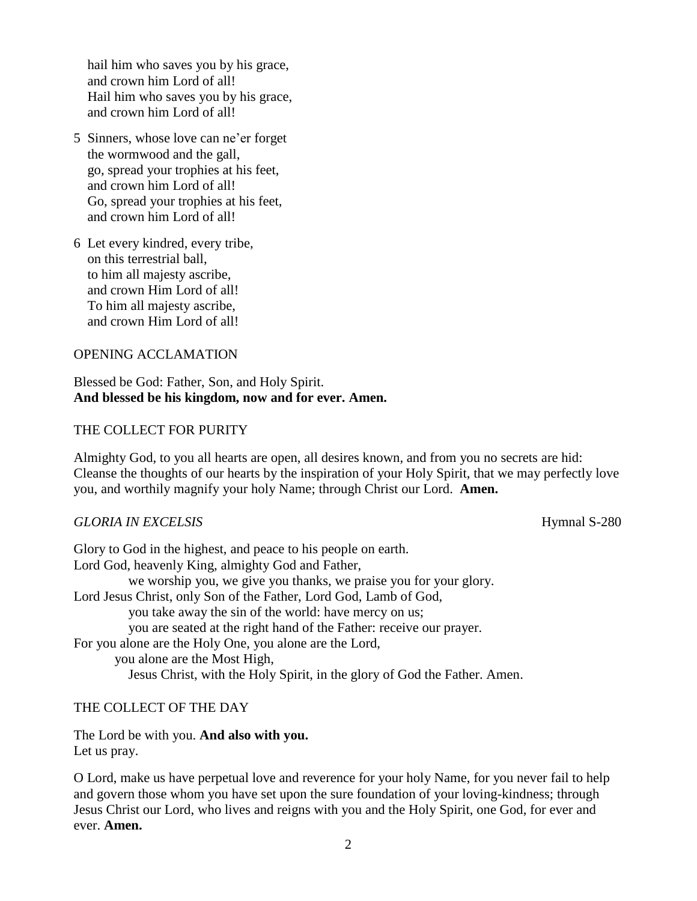hail him who saves you by his grace, and crown him Lord of all! Hail him who saves you by his grace, and crown him Lord of all!

- 5 Sinners, whose love can ne'er forget the wormwood and the gall, go, spread your trophies at his feet, and crown him Lord of all! Go, spread your trophies at his feet, and crown him Lord of all!
- 6 Let every kindred, every tribe, on this terrestrial ball, to him all majesty ascribe, and crown Him Lord of all! To him all majesty ascribe, and crown Him Lord of all!

## OPENING ACCLAMATION

#### Blessed be God: Father, Son, and Holy Spirit. **And blessed be his kingdom, now and for ever. Amen.**

## THE COLLECT FOR PURITY

Almighty God, to you all hearts are open, all desires known, and from you no secrets are hid: Cleanse the thoughts of our hearts by the inspiration of your Holy Spirit, that we may perfectly love you, and worthily magnify your holy Name; through Christ our Lord. **Amen.**

## *GLORIA IN EXCELSIS* Hymnal S-280

| Glory to God in the highest, and peace to his people on earth.            |  |  |  |
|---------------------------------------------------------------------------|--|--|--|
| Lord God, heavenly King, almighty God and Father,                         |  |  |  |
| we worship you, we give you thanks, we praise you for your glory.         |  |  |  |
| Lord Jesus Christ, only Son of the Father, Lord God, Lamb of God,         |  |  |  |
| you take away the sin of the world: have mercy on us;                     |  |  |  |
| you are seated at the right hand of the Father: receive our prayer.       |  |  |  |
| For you alone are the Holy One, you alone are the Lord,                   |  |  |  |
| you alone are the Most High,                                              |  |  |  |
| Jesus Christ, with the Holy Spirit, in the glory of God the Father. Amen. |  |  |  |

## THE COLLECT OF THE DAY

The Lord be with you. **And also with you.** Let us pray.

O Lord, make us have perpetual love and reverence for your holy Name, for you never fail to help and govern those whom you have set upon the sure foundation of your loving-kindness; through Jesus Christ our Lord, who lives and reigns with you and the Holy Spirit, one God, for ever and ever. **Amen.**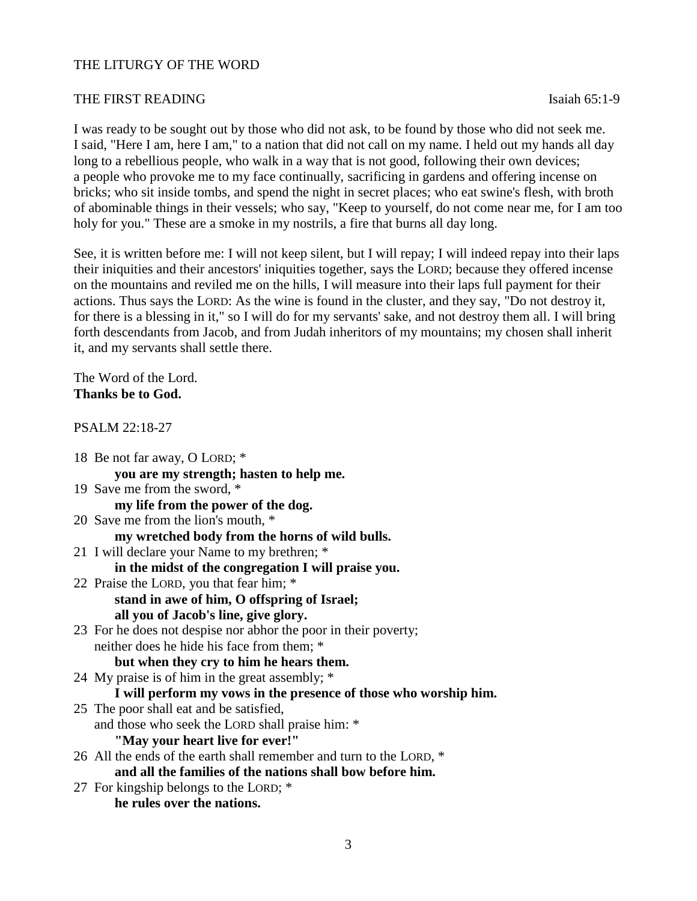## THE LITURGY OF THE WORD

#### THE FIRST READING ISLAMIC STOLEN STOLEN THE FIRST READING

I was ready to be sought out by those who did not ask, to be found by those who did not seek me. I said, "Here I am, here I am," to a nation that did not call on my name. I held out my hands all day long to a rebellious people, who walk in a way that is not good, following their own devices; a people who provoke me to my face continually, sacrificing in gardens and offering incense on bricks; who sit inside tombs, and spend the night in secret places; who eat swine's flesh, with broth of abominable things in their vessels; who say, "Keep to yourself, do not come near me, for I am too holy for you." These are a smoke in my nostrils, a fire that burns all day long.

See, it is written before me: I will not keep silent, but I will repay; I will indeed repay into their laps their iniquities and their ancestors' iniquities together, says the LORD; because they offered incense on the mountains and reviled me on the hills, I will measure into their laps full payment for their actions. Thus says the LORD: As the wine is found in the cluster, and they say, "Do not destroy it, for there is a blessing in it," so I will do for my servants' sake, and not destroy them all. I will bring forth descendants from Jacob, and from Judah inheritors of my mountains; my chosen shall inherit it, and my servants shall settle there.

The Word of the Lord. **Thanks be to God.**

PSALM 22:18-27

| 18 Be not far away, O LORD; *                                       |
|---------------------------------------------------------------------|
| you are my strength; hasten to help me.                             |
| 19 Save me from the sword, *                                        |
| my life from the power of the dog.                                  |
| 20 Save me from the lion's mouth, *                                 |
| my wretched body from the horns of wild bulls.                      |
| 21 I will declare your Name to my brethren; *                       |
| in the midst of the congregation I will praise you.                 |
| 22 Praise the LORD, you that fear him; *                            |
| stand in awe of him, O offspring of Israel;                         |
| all you of Jacob's line, give glory.                                |
| 23 For he does not despise nor abhor the poor in their poverty;     |
| neither does he hide his face from them; *                          |
| but when they cry to him he hears them.                             |
| 24 My praise is of him in the great assembly; *                     |
| I will perform my vows in the presence of those who worship him.    |
| 25 The poor shall eat and be satisfied,                             |
| and those who seek the LORD shall praise him: *                     |
| "May your heart live for ever!"                                     |
| 26 All the ends of the earth shall remember and turn to the LORD, * |
| and all the families of the nations shall bow before him.           |
| 27 For kingship belongs to the LORD; *                              |
| he rules over the nations.                                          |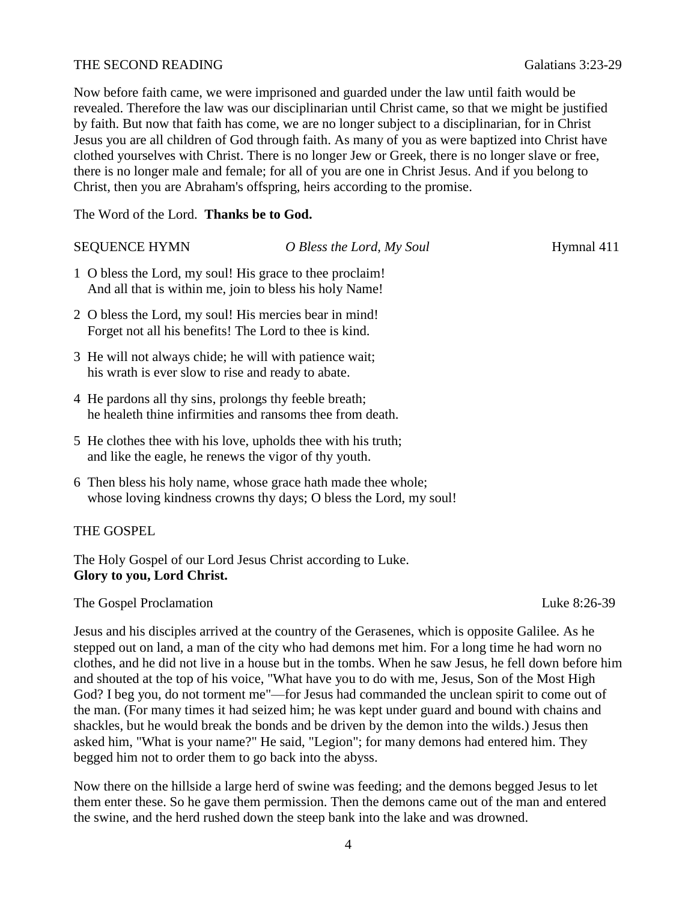#### THE SECOND READING Galatians 3:23-29

Now before faith came, we were imprisoned and guarded under the law until faith would be revealed. Therefore the law was our disciplinarian until Christ came, so that we might be justified by faith. But now that faith has come, we are no longer subject to a disciplinarian, for in Christ Jesus you are all children of God through faith. As many of you as were baptized into Christ have clothed yourselves with Christ. There is no longer Jew or Greek, there is no longer slave or free, there is no longer male and female; for all of you are one in Christ Jesus. And if you belong to Christ, then you are Abraham's offspring, heirs according to the promise.

The Word of the Lord. **Thanks be to God.**

| <b>SEQUENCE HYMN</b>                                                                                                | O Bless the Lord, My Soul | Hymnal 411 |  |
|---------------------------------------------------------------------------------------------------------------------|---------------------------|------------|--|
| 1 O bless the Lord, my soul! His grace to thee proclaim!<br>And all that is within me, join to bless his holy Name! |                           |            |  |
|                                                                                                                     |                           |            |  |

- 2 O bless the Lord, my soul! His mercies bear in mind! Forget not all his benefits! The Lord to thee is kind.
- 3 He will not always chide; he will with patience wait; his wrath is ever slow to rise and ready to abate.
- 4 He pardons all thy sins, prolongs thy feeble breath; he healeth thine infirmities and ransoms thee from death.
- 5 He clothes thee with his love, upholds thee with his truth; and like the eagle, he renews the vigor of thy youth.
- 6 Then bless his holy name, whose grace hath made thee whole; whose loving kindness crowns thy days; O bless the Lord, my soul!

## THE GOSPEL

The Holy Gospel of our Lord Jesus Christ according to Luke. **Glory to you, Lord Christ.**

## The Gospel Proclamation Luke 8:26-39

Jesus and his disciples arrived at the country of the Gerasenes, which is opposite Galilee. As he stepped out on land, a man of the city who had demons met him. For a long time he had worn no clothes, and he did not live in a house but in the tombs. When he saw Jesus, he fell down before him and shouted at the top of his voice, "What have you to do with me, Jesus, Son of the Most High God? I beg you, do not torment me"—for Jesus had commanded the unclean spirit to come out of the man. (For many times it had seized him; he was kept under guard and bound with chains and shackles, but he would break the bonds and be driven by the demon into the wilds.) Jesus then asked him, "What is your name?" He said, "Legion"; for many demons had entered him. They begged him not to order them to go back into the abyss.

Now there on the hillside a large herd of swine was feeding; and the demons begged Jesus to let them enter these. So he gave them permission. Then the demons came out of the man and entered the swine, and the herd rushed down the steep bank into the lake and was drowned.

4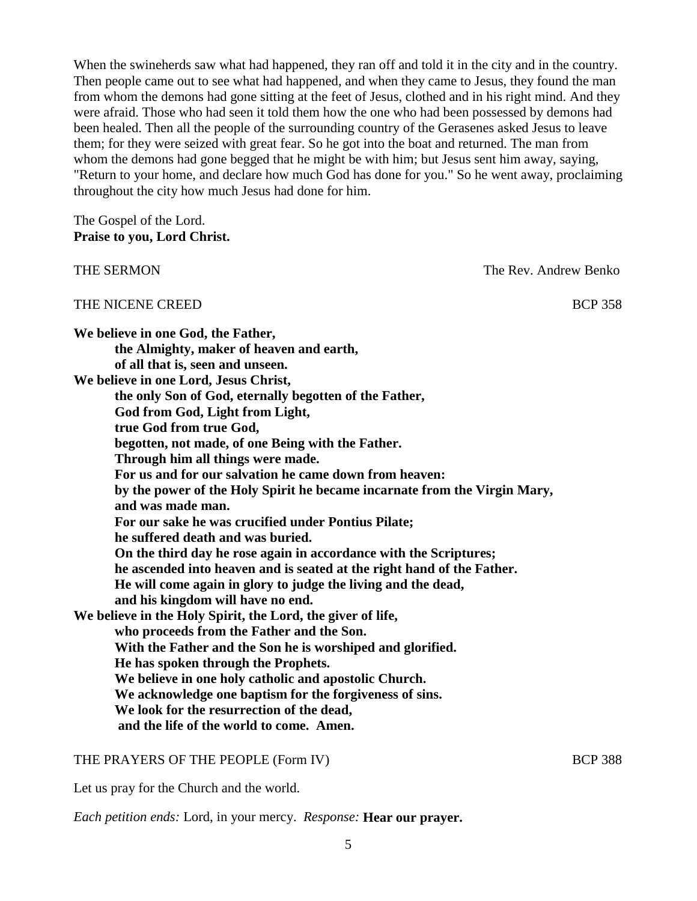5

When the swineherds saw what had happened, they ran off and told it in the city and in the country. Then people came out to see what had happened, and when they came to Jesus, they found the man from whom the demons had gone sitting at the feet of Jesus, clothed and in his right mind. And they were afraid. Those who had seen it told them how the one who had been possessed by demons had been healed. Then all the people of the surrounding country of the Gerasenes asked Jesus to leave them; for they were seized with great fear. So he got into the boat and returned. The man from whom the demons had gone begged that he might be with him; but Jesus sent him away, saying, "Return to your home, and declare how much God has done for you." So he went away, proclaiming throughout the city how much Jesus had done for him.

The Gospel of the Lord. **Praise to you, Lord Christ.**

## THE NICENE CREED BCP 358

**We believe in one God, the Father, the Almighty, maker of heaven and earth, of all that is, seen and unseen. We believe in one Lord, Jesus Christ, the only Son of God, eternally begotten of the Father, God from God, Light from Light, true God from true God, begotten, not made, of one Being with the Father. Through him all things were made. For us and for our salvation he came down from heaven: by the power of the Holy Spirit he became incarnate from the Virgin Mary, and was made man. For our sake he was crucified under Pontius Pilate; he suffered death and was buried. On the third day he rose again in accordance with the Scriptures; he ascended into heaven and is seated at the right hand of the Father. He will come again in glory to judge the living and the dead, and his kingdom will have no end. We believe in the Holy Spirit, the Lord, the giver of life, who proceeds from the Father and the Son. With the Father and the Son he is worshiped and glorified. He has spoken through the Prophets. We believe in one holy catholic and apostolic Church. We acknowledge one baptism for the forgiveness of sins. We look for the resurrection of the dead, and the life of the world to come. Amen.**

THE PRAYERS OF THE PEOPLE (Form IV) BCP 388

Let us pray for the Church and the world.

*Each petition ends:* Lord, in your mercy. *Response:* **Hear our prayer.**

THE SERMON THE SERMON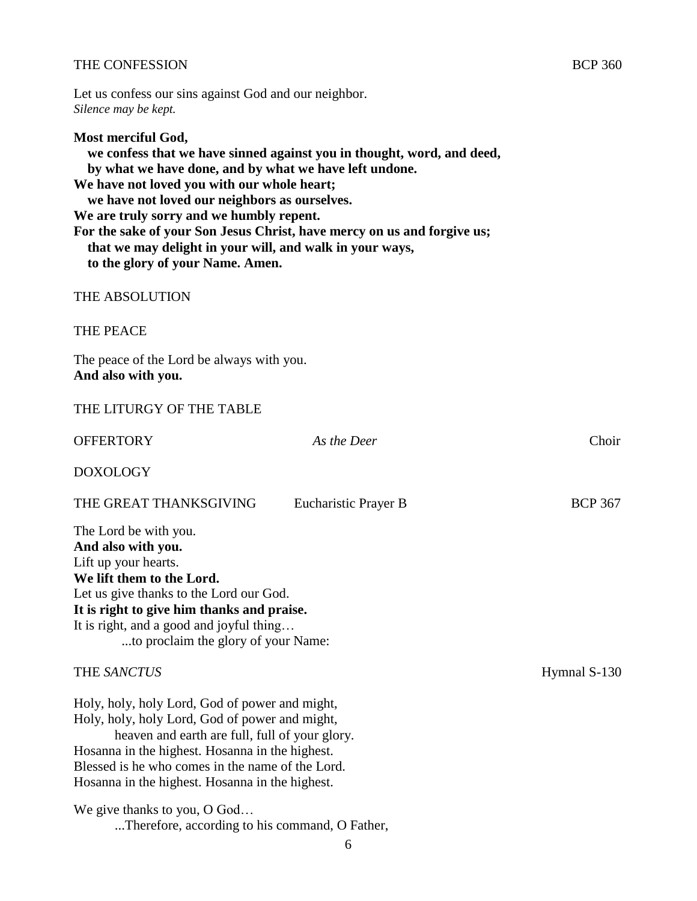#### THE CONFESSION BCP 360

Let us confess our sins against God and our neighbor. *Silence may be kept.*

| <b>Most merciful God,</b><br>we confess that we have sinned against you in thought, word, and deed,<br>by what we have done, and by what we have left undone.<br>We have not loved you with our whole heart;<br>we have not loved our neighbors as ourselves.<br>We are truly sorry and we humbly repent.<br>For the sake of your Son Jesus Christ, have mercy on us and forgive us;<br>that we may delight in your will, and walk in your ways,<br>to the glory of your Name. Amen. |                      |                |  |  |
|--------------------------------------------------------------------------------------------------------------------------------------------------------------------------------------------------------------------------------------------------------------------------------------------------------------------------------------------------------------------------------------------------------------------------------------------------------------------------------------|----------------------|----------------|--|--|
| THE ABSOLUTION                                                                                                                                                                                                                                                                                                                                                                                                                                                                       |                      |                |  |  |
| THE PEACE                                                                                                                                                                                                                                                                                                                                                                                                                                                                            |                      |                |  |  |
| The peace of the Lord be always with you.<br>And also with you.                                                                                                                                                                                                                                                                                                                                                                                                                      |                      |                |  |  |
| THE LITURGY OF THE TABLE                                                                                                                                                                                                                                                                                                                                                                                                                                                             |                      |                |  |  |
| <b>OFFERTORY</b>                                                                                                                                                                                                                                                                                                                                                                                                                                                                     | As the Deer          | Choir          |  |  |
| <b>DOXOLOGY</b>                                                                                                                                                                                                                                                                                                                                                                                                                                                                      |                      |                |  |  |
| THE GREAT THANKSGIVING                                                                                                                                                                                                                                                                                                                                                                                                                                                               | Eucharistic Prayer B | <b>BCP 367</b> |  |  |
| The Lord be with you.<br>And also with you.<br>Lift up your hearts.<br>We lift them to the Lord.<br>Let us give thanks to the Lord our God.<br>It is right to give him thanks and praise.<br>It is right, and a good and joyful thing<br>to proclaim the glory of your Name:                                                                                                                                                                                                         |                      |                |  |  |
| THE SANCTUS                                                                                                                                                                                                                                                                                                                                                                                                                                                                          |                      | Hymnal S-130   |  |  |
|                                                                                                                                                                                                                                                                                                                                                                                                                                                                                      |                      |                |  |  |

Holy, holy, holy Lord, God of power and might, Holy, holy, holy Lord, God of power and might, heaven and earth are full, full of your glory. Hosanna in the highest. Hosanna in the highest. Blessed is he who comes in the name of the Lord. Hosanna in the highest. Hosanna in the highest.

We give thanks to you, O God… ...Therefore, according to his command, O Father,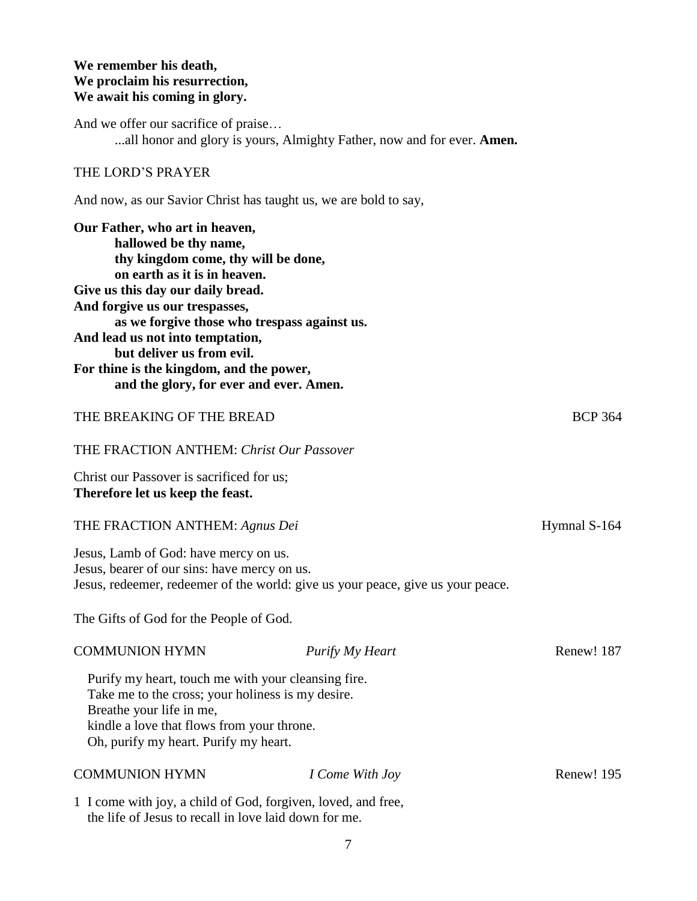## **We remember his death, We proclaim his resurrection, We await his coming in glory.**

And we offer our sacrifice of praise… ...all honor and glory is yours, Almighty Father, now and for ever. **Amen.**

#### THE LORD'S PRAYER

And now, as our Savior Christ has taught us, we are bold to say,

| Our Father, who art in heaven,<br>hallowed be thy name,<br>thy kingdom come, thy will be done,<br>on earth as it is in heaven.<br>Give us this day our daily bread.<br>And forgive us our trespasses,<br>as we forgive those who trespass against us.<br>And lead us not into temptation,<br>but deliver us from evil.<br>For thine is the kingdom, and the power,<br>and the glory, for ever and ever. Amen. |                |
|---------------------------------------------------------------------------------------------------------------------------------------------------------------------------------------------------------------------------------------------------------------------------------------------------------------------------------------------------------------------------------------------------------------|----------------|
| THE BREAKING OF THE BREAD                                                                                                                                                                                                                                                                                                                                                                                     | <b>BCP 364</b> |
| THE FRACTION ANTHEM: Christ Our Passover                                                                                                                                                                                                                                                                                                                                                                      |                |
| Christ our Passover is sacrificed for us;<br>Therefore let us keep the feast.                                                                                                                                                                                                                                                                                                                                 |                |
| THE FRACTION ANTHEM: Agnus Dei                                                                                                                                                                                                                                                                                                                                                                                | Hymnal S-164   |

Jesus, Lamb of God: have mercy on us. Jesus, bearer of our sins: have mercy on us. Jesus, redeemer, redeemer of the world: give us your peace, give us your peace.

The Gifts of God for the People of God.

| <b>COMMUNION HYMN</b>                                                                                                                                                                                                       | Purify My Heart        | Renew! 187 |
|-----------------------------------------------------------------------------------------------------------------------------------------------------------------------------------------------------------------------------|------------------------|------------|
| Purify my heart, touch me with your cleansing fire.<br>Take me to the cross; your holiness is my desire.<br>Breathe your life in me,<br>kindle a love that flows from your throne.<br>Oh, purify my heart. Purify my heart. |                        |            |
| <b>COMMUNION HYMN</b>                                                                                                                                                                                                       | <i>I</i> Come With Joy | Renew! 195 |
| 1 I come with joy, a child of God, forgiven, loved, and free,<br>the life of Jesus to recall in love laid down for me.                                                                                                      |                        |            |